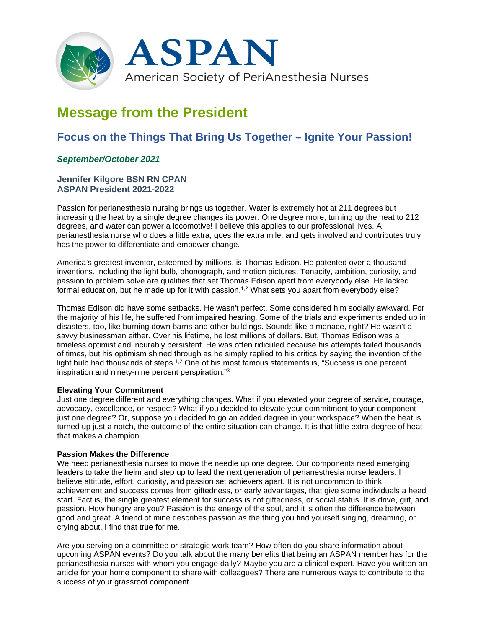

# **Message from the President**

## **Focus on the Things That Bring Us Together – Ignite Your Passion!**

### *September/October 2021*

#### **Jennifer Kilgore BSN RN CPAN ASPAN President 2021-2022**

Passion for perianesthesia nursing brings us together. Water is extremely hot at 211 degrees but increasing the heat by a single degree changes its power. One degree more, turning up the heat to 212 degrees, and water can power a locomotive! I believe this applies to our professional lives. A perianesthesia nurse who does a little extra, goes the extra mile, and gets involved and contributes truly has the power to differentiate and empower change.

America's greatest inventor, esteemed by millions, is Thomas Edison. He patented over a thousand inventions, including the light bulb, phonograph, and motion pictures. Tenacity, ambition, curiosity, and passion to problem solve are qualities that set Thomas Edison apart from everybody else. He lacked formal education, but he made up for it with passion.<sup>1,2</sup> What sets you apart from everybody else?

Thomas Edison did have some setbacks. He wasn't perfect. Some considered him socially awkward. For the majority of his life, he suffered from impaired hearing. Some of the trials and experiments ended up in disasters, too, like burning down barns and other buildings. Sounds like a menace, right? He wasn't a savvy businessman either. Over his lifetime, he lost millions of dollars. But, Thomas Edison was a timeless optimist and incurably persistent. He was often ridiculed because his attempts failed thousands of times, but his optimism shined through as he simply replied to his critics by saying the invention of the light bulb had thousands of steps.<sup>1,2</sup> One of his most famous statements is, "Success is one percent inspiration and ninety-nine percent perspiration."3

#### **Elevating Your Commitment**

Just one degree different and everything changes. What if you elevated your degree of service, courage, advocacy, excellence, or respect? What if you decided to elevate your commitment to your component just one degree? Or, suppose you decided to go an added degree in your workspace? When the heat is turned up just a notch, the outcome of the entire situation can change. It is that little extra degree of heat that makes a champion.

#### **Passion Makes the Difference**

We need perianesthesia nurses to move the needle up one degree. Our components need emerging leaders to take the helm and step up to lead the next generation of perianesthesia nurse leaders. I believe attitude, effort, curiosity, and passion set achievers apart. It is not uncommon to think achievement and success comes from giftedness, or early advantages, that give some individuals a head start. Fact is, the single greatest element for success is not giftedness, or social status. It is drive, grit, and passion. How hungry are you? Passion is the energy of the soul, and it is often the difference between good and great. A friend of mine describes passion as the thing you find yourself singing, dreaming, or crying about. I find that true for me.

Are you serving on a committee or strategic work team? How often do you share information about upcoming ASPAN events? Do you talk about the many benefits that being an ASPAN member has for the perianesthesia nurses with whom you engage daily? Maybe you are a clinical expert. Have you written an article for your home component to share with colleagues? There are numerous ways to contribute to the success of your grassroot component.